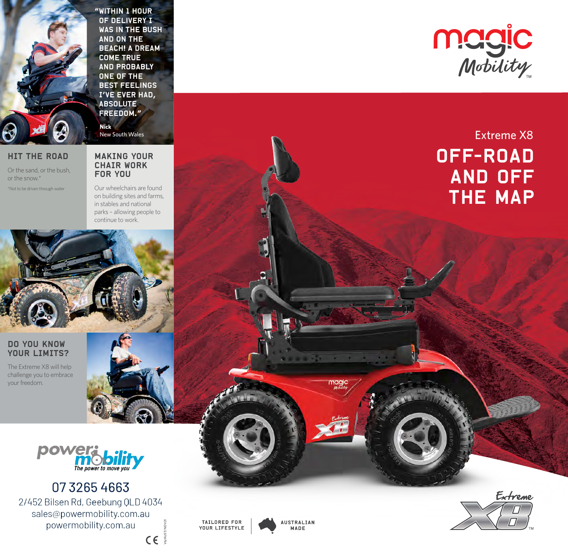"Within 1 hour of delivery I was in the bush and on the **BEACH! A DREAM** come true and probably one of the best feelings I've ever had, absolute freedom."

New South Wales

**Nick**

## HIT THE ROAD

Or the sand, or the bush, or the snow.\* \*Not to be driven through water

## MAKING YOUR CHAIR WORK FOR YOU

Our wheelchairs are found on building sites and farms, in stables and national parks – allowing people to continue to work.



## DO YOU KNOW YOUR LIMITS?

The Extreme X8 will help challenge you to embrace your freedom.





07 3265 4663 2/452 Bilsen Rd, Geebung QLD 4034 sales@powermobility.com.au powermobility.com.au



V6/AUST/NOV21

 $C \in \mathbb{R}$ 

**AUSTRALIAN** MADE

**CONTRACTOR** 



# OFF-ROAD AND OFF THE MAP Extreme X8